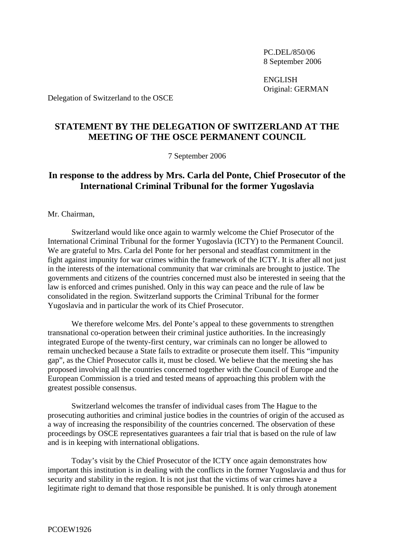PC.DEL/850/06 8 September 2006

 ENGLISH Original: GERMAN

Delegation of Switzerland to the OSCE

## **STATEMENT BY THE DELEGATION OF SWITZERLAND AT THE MEETING OF THE OSCE PERMANENT COUNCIL**

7 September 2006

## **In response to the address by Mrs. Carla del Ponte, Chief Prosecutor of the International Criminal Tribunal for the former Yugoslavia**

Mr. Chairman,

 Switzerland would like once again to warmly welcome the Chief Prosecutor of the International Criminal Tribunal for the former Yugoslavia (ICTY) to the Permanent Council. We are grateful to Mrs. Carla del Ponte for her personal and steadfast commitment in the fight against impunity for war crimes within the framework of the ICTY. It is after all not just in the interests of the international community that war criminals are brought to justice. The governments and citizens of the countries concerned must also be interested in seeing that the law is enforced and crimes punished. Only in this way can peace and the rule of law be consolidated in the region. Switzerland supports the Criminal Tribunal for the former Yugoslavia and in particular the work of its Chief Prosecutor.

 We therefore welcome Mrs. del Ponte's appeal to these governments to strengthen transnational co-operation between their criminal justice authorities. In the increasingly integrated Europe of the twenty-first century, war criminals can no longer be allowed to remain unchecked because a State fails to extradite or prosecute them itself. This "impunity gap", as the Chief Prosecutor calls it, must be closed. We believe that the meeting she has proposed involving all the countries concerned together with the Council of Europe and the European Commission is a tried and tested means of approaching this problem with the greatest possible consensus.

 Switzerland welcomes the transfer of individual cases from The Hague to the prosecuting authorities and criminal justice bodies in the countries of origin of the accused as a way of increasing the responsibility of the countries concerned. The observation of these proceedings by OSCE representatives guarantees a fair trial that is based on the rule of law and is in keeping with international obligations.

 Today's visit by the Chief Prosecutor of the ICTY once again demonstrates how important this institution is in dealing with the conflicts in the former Yugoslavia and thus for security and stability in the region. It is not just that the victims of war crimes have a legitimate right to demand that those responsible be punished. It is only through atonement